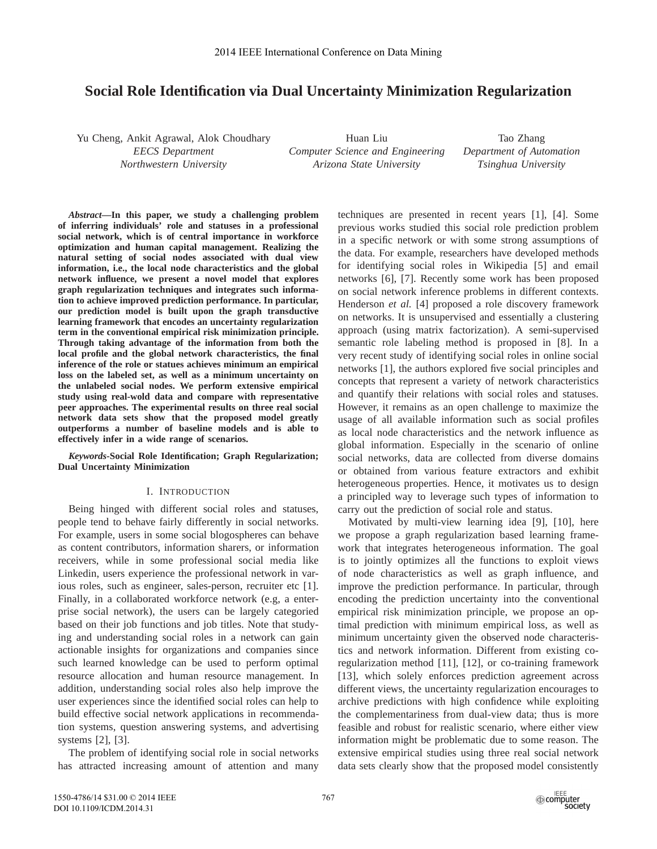# **Social Role Identification via Dual Uncertainty Minimization Regularization**

Yu Cheng, Ankit Agrawal, Alok Choudhary *EECS Department Northwestern University*

Huan Liu *Computer Science and Engineering Arizona State University*

Tao Zhang *Department of Automation Tsinghua University*

*Abstract***—In this paper, we study a challenging problem of inferring individuals' role and statuses in a professional social network, which is of central importance in workforce optimization and human capital management. Realizing the natural setting of social nodes associated with dual view information, i.e., the local node characteristics and the global network influence, we present a novel model that explores graph regularization techniques and integrates such information to achieve improved prediction performance. In particular, our prediction model is built upon the graph transductive learning framework that encodes an uncertainty regularization term in the conventional empirical risk minimization principle. Through taking advantage of the information from both the local profile and the global network characteristics, the final inference of the role or statues achieves minimum an empirical loss on the labeled set, as well as a minimum uncertainty on the unlabeled social nodes. We perform extensive empirical study using real-wold data and compare with representative peer approaches. The experimental results on three real social network data sets show that the proposed model greatly outperforms a number of baseline models and is able to effectively infer in a wide range of scenarios.**

*Keywords***-Social Role Identification; Graph Regularization; Dual Uncertainty Minimization**

#### I. INTRODUCTION

Being hinged with different social roles and statuses, people tend to behave fairly differently in social networks. For example, users in some social blogospheres can behave as content contributors, information sharers, or information receivers, while in some professional social media like Linkedin, users experience the professional network in various roles, such as engineer, sales-person, recruiter etc [1]. Finally, in a collaborated workforce network (e.g, a enterprise social network), the users can be largely categoried based on their job functions and job titles. Note that studying and understanding social roles in a network can gain actionable insights for organizations and companies since such learned knowledge can be used to perform optimal resource allocation and human resource management. In addition, understanding social roles also help improve the user experiences since the identified social roles can help to build effective social network applications in recommendation systems, question answering systems, and advertising systems [2], [3].

The problem of identifying social role in social networks has attracted increasing amount of attention and many techniques are presented in recent years [1], [4]. Some previous works studied this social role prediction problem in a specific network or with some strong assumptions of the data. For example, researchers have developed methods for identifying social roles in Wikipedia [5] and email networks [6], [7]. Recently some work has been proposed on social network inference problems in different contexts. Henderson *et al.* [4] proposed a role discovery framework on networks. It is unsupervised and essentially a clustering approach (using matrix factorization). A semi-supervised semantic role labeling method is proposed in [8]. In a very recent study of identifying social roles in online social networks [1], the authors explored five social principles and concepts that represent a variety of network characteristics and quantify their relations with social roles and statuses. However, it remains as an open challenge to maximize the usage of all available information such as social profiles as local node characteristics and the network influence as global information. Especially in the scenario of online social networks, data are collected from diverse domains or obtained from various feature extractors and exhibit heterogeneous properties. Hence, it motivates us to design a principled way to leverage such types of information to carry out the prediction of social role and status.

Motivated by multi-view learning idea [9], [10], here we propose a graph regularization based learning framework that integrates heterogeneous information. The goal is to jointly optimizes all the functions to exploit views of node characteristics as well as graph influence, and improve the prediction performance. In particular, through encoding the prediction uncertainty into the conventional empirical risk minimization principle, we propose an optimal prediction with minimum empirical loss, as well as minimum uncertainty given the observed node characteristics and network information. Different from existing coregularization method [11], [12], or co-training framework [13], which solely enforces prediction agreement across different views, the uncertainty regularization encourages to archive predictions with high confidence while exploiting the complementariness from dual-view data; thus is more feasible and robust for realistic scenario, where either view information might be problematic due to some reason. The extensive empirical studies using three real social network data sets clearly show that the proposed model consistently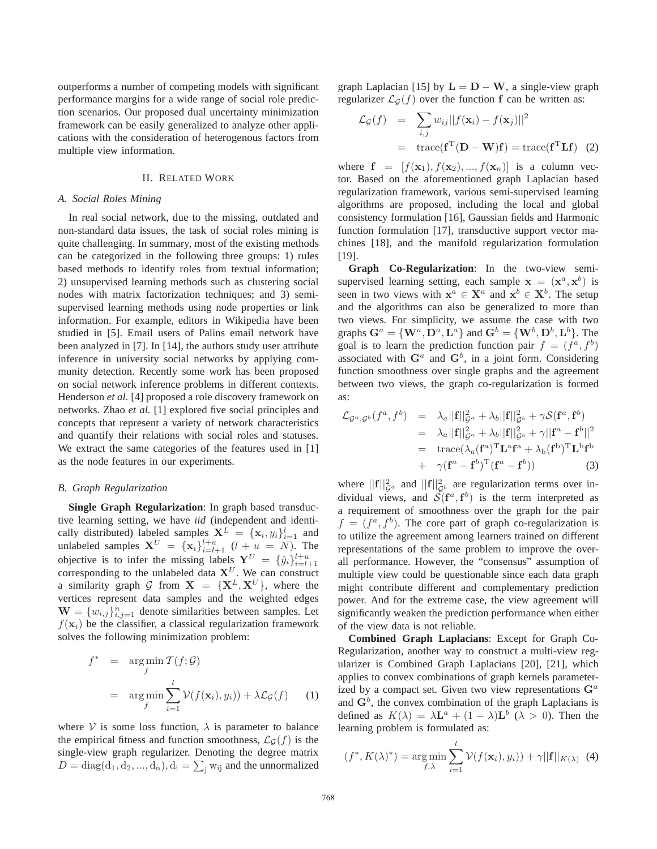outperforms a number of competing models with significant performance margins for a wide range of social role prediction scenarios. Our proposed dual uncertainty minimization framework can be easily generalized to analyze other applications with the consideration of heterogenous factors from multiple view information.

# II. RELATED WORK

## *A. Social Roles Mining*

In real social network, due to the missing, outdated and non-standard data issues, the task of social roles mining is quite challenging. In summary, most of the existing methods can be categorized in the following three groups: 1) rules based methods to identify roles from textual information; 2) unsupervised learning methods such as clustering social nodes with matrix factorization techniques; and 3) semisupervised learning methods using node properties or link information. For example, editors in Wikipedia have been studied in [5]. Email users of Palins email network have been analyzed in [7]. In [14], the authors study user attribute inference in university social networks by applying community detection. Recently some work has been proposed on social network inference problems in different contexts. Henderson *et al.* [4] proposed a role discovery framework on networks. Zhao *et al.* [1] explored five social principles and concepts that represent a variety of network characteristics and quantify their relations with social roles and statuses. We extract the same categories of the features used in [1] as the node features in our experiments.

#### *B. Graph Regularization*

**Single Graph Regularization**: In graph based transductive learning setting, we have *iid* (independent and identically distributed) labeled samples  $X^L = \{x_i, y_i\}_{i=1}^l$  and unlabeled samples  $\mathbf{X}^U = {\mathbf{x}_i}_{i=1}^{l+u}$   $(l+u = N)$ . The objective is to infer the missing labels  $Y^U = \{\hat{y}_i\}_{i=1}^{l+u}$ corresponding to the unlabeled data  $X^U$ . We can construct a similarity graph G from  $X = \{X^L, X^U\}$ , where the vertices represent data samples and the weighted edges  $\mathbf{W} = \{w_{i,j}\}_{i,j=1}^n$  denote similarities between samples. Let  $f(\mathbf{x}_i)$  be the classifier, a classical regularization framework solves the following minimization problem:

$$
f^* = \underset{f}{\arg\min} \mathcal{T}(f; \mathcal{G})
$$
  
= 
$$
\underset{f}{\arg\min} \sum_{i=1}^{l} \mathcal{V}(f(\mathbf{x}_i), y_i)) + \lambda \mathcal{L}_{\mathcal{G}}(f)
$$
 (1)

where V is some loss function,  $\lambda$  is parameter to balance the empirical fitness and function smoothness,  $\mathcal{L}_{G}(f)$  is the single-view graph regularizer. Denoting the degree matrix  $D = diag(d_1, d_2, ..., d_n), d_i = \sum_j w_{ij}$  and the unnormalized graph Laplacian [15] by  $L = D - W$ , a single-view graph regularizer  $\mathcal{L}_{\mathcal{G}}(f)$  over the function f can be written as:

$$
\mathcal{L}_{\mathcal{G}}(f) = \sum_{i,j} w_{ij} ||f(\mathbf{x}_i) - f(\mathbf{x}_j)||^2
$$
  
= trace( $\mathbf{f}^{\mathrm{T}}(\mathbf{D} - \mathbf{W})\mathbf{f}$ ) = trace( $\mathbf{f}^{\mathrm{T}}\mathbf{L}\mathbf{f}$ ) (2)

where  $f = [f(\mathbf{x}_1), f(\mathbf{x}_2), ..., f(\mathbf{x}_n)]$  is a column vector. Based on the aforementioned graph Laplacian based regularization framework, various semi-supervised learning algorithms are proposed, including the local and global consistency formulation [16], Gaussian fields and Harmonic function formulation [17], transductive support vector machines [18], and the manifold regularization formulation [19].

**Graph Co-Regularization**: In the two-view semisupervised learning setting, each sample  $\mathbf{x} = (\mathbf{x}^a, \mathbf{x}^b)$  is seen in two views with  $x^a \in X^a$  and  $x^b \in X^b$ . The setup and the algorithms can also be generalized to more than two views. For simplicity, we assume the case with two graphs  $\mathbf{G}^a = \{\mathbf{W}^a, \mathbf{D}^a, \mathbf{L}^a\}$  and  $\mathbf{G}^b = \{\mathbf{W}^b, \mathbf{D}^b, \mathbf{L}^b\}$ . The goal is to learn the prediction function pair  $f = (f^a, f^b)$ associated with  $G^a$  and  $G^b$ , in a joint form. Considering function smoothness over single graphs and the agreement between two views, the graph co-regularization is formed as:

$$
\mathcal{L}_{\mathcal{G}^{a},\mathcal{G}^{b}}(f^{a},f^{b}) = \lambda_{a}||\mathbf{f}||_{\mathcal{G}^{a}}^{2} + \lambda_{b}||\mathbf{f}||_{\mathcal{G}^{b}}^{2} + \gamma \mathcal{S}(\mathbf{f}^{a},\mathbf{f}^{b})
$$
\n
$$
= \lambda_{a}||\mathbf{f}||_{\mathcal{G}^{a}}^{2} + \lambda_{b}||\mathbf{f}||_{\mathcal{G}^{b}}^{2} + \gamma||\mathbf{f}^{a} - \mathbf{f}^{b}||^{2}
$$
\n
$$
= \text{trace}(\lambda_{a}(\mathbf{f}^{a})^{\text{T}}\mathbf{L}^{a}\mathbf{f}^{a} + \lambda_{b}(\mathbf{f}^{b})^{\text{T}}\mathbf{L}^{b}\mathbf{f}^{b}
$$
\n
$$
+ \gamma(\mathbf{f}^{a} - \mathbf{f}^{b})^{\text{T}}(\mathbf{f}^{a} - \mathbf{f}^{b})) \qquad (3)
$$

where  $||\mathbf{f}||_{\mathcal{G}^a}^2$  and  $||\mathbf{f}||_{\mathcal{G}^b}^2$  are regularization terms over individual views, and  $\tilde{S}(f^a, f^b)$  is the term interpreted as a requirement of smoothness over the graph for the pair  $f = (f^a, f^b)$ . The core part of graph co-regularization is to utilize the agreement among learners trained on different representations of the same problem to improve the overall performance. However, the "consensus" assumption of multiple view could be questionable since each data graph might contribute different and complementary prediction power. And for the extreme case, the view agreement will significantly weaken the prediction performance when either of the view data is not reliable.

**Combined Graph Laplacians**: Except for Graph Co-Regularization, another way to construct a multi-view regularizer is Combined Graph Laplacians [20], [21], which applies to convex combinations of graph kernels parameterized by a compact set. Given two view representations  $G^a$ and  $G<sup>b</sup>$ , the convex combination of the graph Laplacians is defined as  $K(\lambda) = \lambda \mathbf{L}^a + (1 - \lambda) \mathbf{L}^b$  ( $\lambda > 0$ ). Then the learning problem is formulated as:

$$
(f^*, K(\lambda)^*) = \underset{f, \lambda}{\arg \min} \sum_{i=1}^l \mathcal{V}(f(\mathbf{x}_i), y_i)) + \gamma ||\mathbf{f}||_{K(\lambda)}
$$
(4)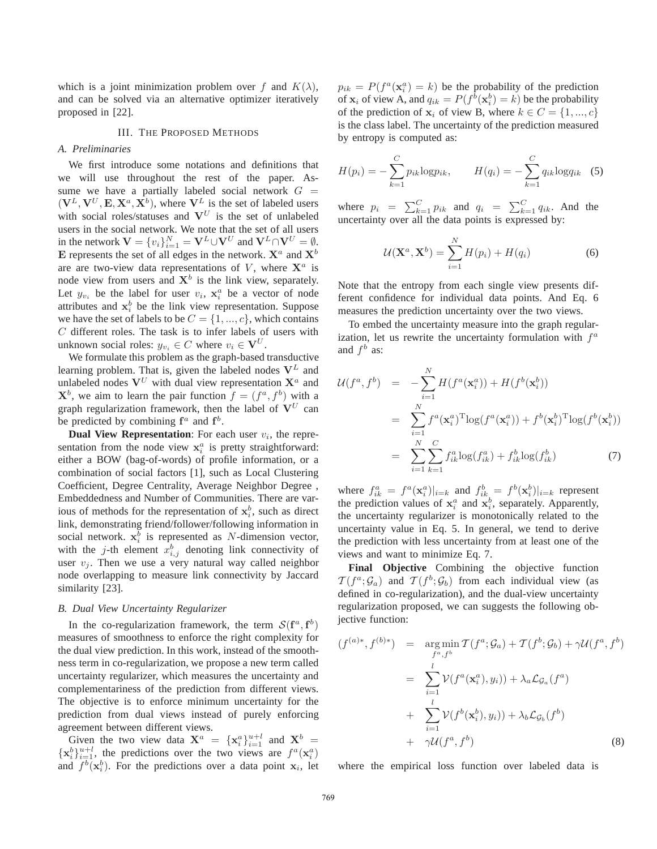which is a joint minimization problem over f and  $K(\lambda)$ , and can be solved via an alternative optimizer iteratively proposed in [22].

#### III. THE PROPOSED METHODS

### *A. Preliminaries*

We first introduce some notations and definitions that we will use throughout the rest of the paper. Assume we have a partially labeled social network  $G =$  $(V^L, V^U, E, X^a, X^b)$ , where  $V^L$  is the set of labeled users with social roles/statuses and  $V^U$  is the set of unlabeled users in the social network. We note that the set of all users in the network  $\mathbf{V} = \{v_i\}_{i=1}^N = \mathbf{V}^L \cup \mathbf{V}^U$  and  $\mathbf{V}^L \cap \mathbf{V}^U = \emptyset$ . E represents the set of all edges in the network.  $X^a$  and  $X^b$ are are two-view data representations of  $V$ , where  $X^a$  is node view from users and  $X^b$  is the link view, separately. Let  $y_{v_i}$  be the label for user  $v_i$ ,  $\mathbf{x}_i^a$  be a vector of node attributes and  $x_i^b$  be the link view representation. Suppose we have the set of labels to be  $C = \{1, ..., c\}$ , which contains C different roles. The task is to infer labels of users with unknown social roles:  $y_{v_i} \in C$  where  $v_i \in V^U$ .

We formulate this problem as the graph-based transductive learning problem. That is, given the labeled nodes  $V^L$  and unlabeled nodes  $V^U$  with dual view representation  $X^a$  and  $X^b$ , we aim to learn the pair function  $f = (f^a, f^b)$  with a graph regularization framework, then the label of  $V^U$  can be predicted by combining  $f^a$  and  $f^b$ .

**Dual View Representation**: For each user  $v_i$ , the representation from the node view  $x_i^a$  is pretty straightforward: either a BOW (bag-of-words) of profile information, or a combination of social factors [1], such as Local Clustering Coefficient, Degree Centrality, Average Neighbor Degree , Embeddedness and Number of Communities. There are various of methods for the representation of  $x_i^b$ , such as direct link, demonstrating friend/follower/following information in social network.  $x_i^b$  is represented as N-dimension vector, with the j-th element  $x_{i,j}^b$  denoting link connectivity of user  $v_i$ . Then we use a very natural way called neighbor node overlapping to measure link connectivity by Jaccard similarity [23].

## *B. Dual View Uncertainty Regularizer*

In the co-regularization framework, the term  $\mathcal{S}(\mathbf{f}^a, \mathbf{f}^b)$ measures of smoothness to enforce the right complexity for the dual view prediction. In this work, instead of the smoothness term in co-regularization, we propose a new term called uncertainty regularizer, which measures the uncertainty and complementariness of the prediction from different views. The objective is to enforce minimum uncertainty for the prediction from dual views instead of purely enforcing agreement between different views.

Given the two view data  $X^a = \{x_i^a\}_{i=1}^{u+l}$  and  $X^b =$  ${x_i^b}_{i=1}^{u+l}$ , the predictions over the two views are  $f^a(\mathbf{x}_i^a)$ and  $f^b$ ( $\mathbf{x}_i^b$ ). For the predictions over a data point  $\mathbf{x}_i$ , let

 $p_{ik} = P(f^{a}(\mathbf{x}_{i}^{a}) = k)$  be the probability of the prediction of  $\mathbf{x}_i$  of view A, and  $q_{ik} = P(f^b(\mathbf{x}_i^b) = k)$  be the probability of the prediction of  $x_i$  of view B, where  $k \in C = \{1, ..., c\}$ is the class label. The uncertainty of the prediction measured by entropy is computed as:

$$
H(p_i) = -\sum_{k=1}^{C} p_{ik} \log p_{ik}, \qquad H(q_i) = -\sum_{k=1}^{C} q_{ik} \log q_{ik} \quad (5)
$$

where  $p_i = \sum_{k=1}^{C} p_{ik}$  and  $q_i = \sum_{k=1}^{C} q_{ik}$ . And the uncertainty over all the data points is expressed by:

$$
\mathcal{U}(\mathbf{X}^a, \mathbf{X}^b) = \sum_{i=1}^N H(p_i) + H(q_i)
$$
 (6)

Note that the entropy from each single view presents different confidence for individual data points. And Eq. 6 measures the prediction uncertainty over the two views.

To embed the uncertainty measure into the graph regularization, let us rewrite the uncertainty formulation with  $f^a$ and  $f^b$  as:

$$
\mathcal{U}(f^a, f^b) = -\sum_{i=1}^N H(f^a(\mathbf{x}_i^a)) + H(f^b(\mathbf{x}_i^b))
$$
  
\n
$$
= \sum_{i=1}^N f^a(\mathbf{x}_i^a)^T \log(f^a(\mathbf{x}_i^a)) + f^b(\mathbf{x}_i^b)^T \log(f^b(\mathbf{x}_i^b))
$$
  
\n
$$
= \sum_{i=1}^N \sum_{k=1}^C f_{ik}^a \log(f_{ik}^a) + f_{ik}^b \log(f_{ik}^b)
$$
 (7)

where  $f_{ik}^a = f^a(\mathbf{x}_i^a)|_{i=k}$  and  $f_{ik}^b = f^b(\mathbf{x}_i^b)|_{i=k}$  represent the prediction values of  $x_i^a$  and  $x_i^b$ , separately. Apparently, the uncertainty regularizer is monotonically related to the uncertainty value in Eq. 5. In general, we tend to derive the prediction with less uncertainty from at least one of the views and want to minimize Eq. 7.

**Final Objective** Combining the objective function  $T(f^a; \mathcal{G}_a)$  and  $T(f^b; \mathcal{G}_b)$  from each individual view (as defined in co-regularization), and the dual-view uncertainty regularization proposed, we can suggests the following objective function:

$$
(f^{(a)*}, f^{(b)*}) = \underset{f^a, f^b}{\arg \min} \mathcal{T}(f^a; \mathcal{G}_a) + \mathcal{T}(f^b; \mathcal{G}_b) + \gamma \mathcal{U}(f^a, f^b)
$$
  

$$
= \sum_{i=1}^l \mathcal{V}(f^a(\mathbf{x}_i^a), y_i)) + \lambda_a \mathcal{L}_{\mathcal{G}_a}(f^a)
$$
  

$$
+ \sum_{i=1}^l \mathcal{V}(f^b(\mathbf{x}_i^b), y_i)) + \lambda_b \mathcal{L}_{\mathcal{G}_b}(f^b)
$$
  

$$
+ \gamma \mathcal{U}(f^a, f^b) \tag{8}
$$

where the empirical loss function over labeled data is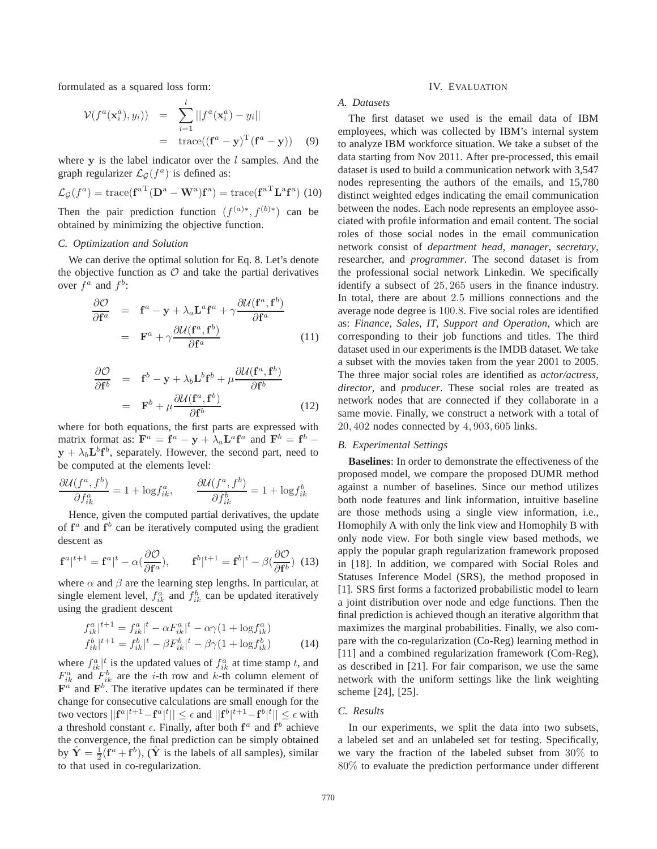formulated as a squared loss form:

$$
\mathcal{V}(f^a(\mathbf{x}_i^a), y_i) = \sum_{i=1}^l ||f^a(\mathbf{x}_i^a) - y_i||
$$
  
= trace(( $\mathbf{f}^a - \mathbf{y}$ )<sup>T</sup>( $\mathbf{f}^a - \mathbf{y}$ )) (9)

where y is the label indicator over the  $l$  samples. And the graph regularizer  $\mathcal{L}_{\mathcal{G}}(f^a)$  is defined as:

$$
\mathcal{L}_{\mathcal{G}}(f^{a}) = \text{trace}(\mathbf{f}^{aT}(\mathbf{D}^{a} - \mathbf{W}^{a})\mathbf{f}^{a}) = \text{trace}(\mathbf{f}^{aT}\mathbf{L}^{a}\mathbf{f}^{a})
$$
(10)

Then the pair prediction function  $(f^{(a)*}, f^{(b)*})$  can be obtained by minimizing the objective function.

# *C. Optimization and Solution*

We can derive the optimal solution for Eq. 8. Let's denote the objective function as  $\mathcal O$  and take the partial derivatives over  $f^a$  and  $f^b$ :

$$
\frac{\partial \mathcal{O}}{\partial \mathbf{f}^a} = \mathbf{f}^a - \mathbf{y} + \lambda_a \mathbf{L}^a \mathbf{f}^a + \gamma \frac{\partial \mathcal{U}(\mathbf{f}^a, \mathbf{f}^b)}{\partial \mathbf{f}^a}
$$

$$
= \mathbf{F}^a + \gamma \frac{\partial \mathcal{U}(\mathbf{f}^a, \mathbf{f}^b)}{\partial \mathbf{f}^a}
$$
(11)

$$
\frac{\partial \mathcal{O}}{\partial \mathbf{f}^b} = \mathbf{f}^b - \mathbf{y} + \lambda_b \mathbf{L}^b \mathbf{f}^b + \mu \frac{\partial \mathcal{U}(\mathbf{f}^a, \mathbf{f}^b)}{\partial \mathbf{f}^b}
$$

$$
= \mathbf{F}^b + \mu \frac{\partial \mathcal{U}(\mathbf{f}^a, \mathbf{f}^b)}{\partial \mathbf{f}^b}
$$
(12)

where for both equations, the first parts are expressed with matrix format as:  $\mathbf{F}^a = \mathbf{f}^a - \mathbf{y} + \lambda_a \mathbf{L}^a \mathbf{f}^a$  and  $\mathbf{F}^b = \mathbf{f}^b$  - $\mathbf{y} + \lambda_b \mathbf{L}^b \mathbf{f}^b$ , separately. However, the second part, need to be computed at the elements level:

$$
\frac{\partial \mathcal{U}(f^a, f^b)}{\partial f^a_{ik}} = 1 + \log f^a_{ik}, \qquad \frac{\partial \mathcal{U}(f^a, f^b)}{\partial f^b_{ik}} = 1 + \log f^b_{ik}
$$

Hence, given the computed partial derivatives, the update of  $f^a$  and  $f^b$  can be iteratively computed using the gradient descent as

$$
\mathbf{f}^{a}|^{t+1} = \mathbf{f}^{a}|^{t} - \alpha \left(\frac{\partial \mathcal{O}}{\partial \mathbf{f}^{a}}\right), \qquad \mathbf{f}^{b}|^{t+1} = \mathbf{f}^{b}|^{t} - \beta \left(\frac{\partial \mathcal{O}}{\partial \mathbf{f}^{b}}\right) \tag{13}
$$

where  $\alpha$  and  $\beta$  are the learning step lengths. In particular, at single element level,  $f_{ik}^a$  and  $f_{ik}^b$  can be updated iteratively using the gradient descent

$$
f_{ik}^{a}|^{t+1} = f_{ik}^{a}|^{t} - \alpha F_{ik}^{a}|^{t} - \alpha \gamma (1 + \log f_{ik}^{a})
$$
  
\n
$$
f_{ik}^{b}|^{t+1} = f_{ik}^{b}|^{t} - \beta F_{ik}^{b}|^{t} - \beta \gamma (1 + \log f_{ik}^{b})
$$
\n(14)

where  $f_{ik}^a|^t$  is the updated values of  $f_{ik}^a$  at time stamp t, and  $F_{ik}^a$  and  $F_{ik}^b$  are the *i*-th row and *k*-th column element of  $\mathbf{F}^a$  and  $\mathbf{F}^b$ . The iterative updates can be terminated if there change for consecutive calculations are small enough for the two vectors  $||{\bf f}^a|^{t+1}-{\bf f}^a|^t||\leq \epsilon$  and  $||{\bf f}^b|^{t+1}-{\bf f}^b|^t||\leq \epsilon$  with a threshold constant  $\epsilon$ . Finally, after both  $f^a$  and  $f^b$  achieve the convergence, the final prediction can be simply obtained by  $\hat{\mathbf{Y}} = \frac{1}{2} (\mathbf{f}^a + \mathbf{f}^b)$ ,  $(\hat{\mathbf{Y}}$  is the labels of all samples), similar to that used in co-regularization.

#### IV. EVALUATION

# *A. Datasets*

The first dataset we used is the email data of IBM employees, which was collected by IBM's internal system to analyze IBM workforce situation. We take a subset of the data starting from Nov 2011. After pre-processed, this email dataset is used to build a communication network with 3,547 nodes representing the authors of the emails, and 15,780 distinct weighted edges indicating the email communication between the nodes. Each node represents an employee associated with profile information and email content. The social roles of those social nodes in the email communication network consist of *department head*, *manager*, *secretary*, researcher, and *programmer*. The second dataset is from the professional social network Linkedin. We specifically identify a subsect of 25, 265 users in the finance industry. In total, there are about 2.5 millions connections and the average node degree is 100.8. Five social roles are identified as: *Finance*, *Sales*, *IT*, *Support and Operation*, which are corresponding to their job functions and titles. The third dataset used in our experiments is the IMDB dataset. We take a subset with the movies taken from the year 2001 to 2005. The three major social roles are identified as *actor/actress*, *director*, and *producer*. These social roles are treated as network nodes that are connected if they collaborate in a same movie. Finally, we construct a network with a total of 20, 402 nodes connected by 4, 903, 605 links.

# *B. Experimental Settings*

**Baselines**: In order to demonstrate the effectiveness of the proposed model, we compare the proposed DUMR method against a number of baselines. Since our method utilizes both node features and link information, intuitive baseline are those methods using a single view information, i.e., Homophily A with only the link view and Homophily B with only node view. For both single view based methods, we apply the popular graph regularization framework proposed in [18]. In addition, we compared with Social Roles and Statuses Inference Model (SRS), the method proposed in [1]. SRS first forms a factorized probabilistic model to learn a joint distribution over node and edge functions. Then the final prediction is achieved though an iterative algorithm that maximizes the marginal probabilities. Finally, we also compare with the co-regularization (Co-Reg) learning method in [11] and a combined regularization framework (Com-Reg), as described in [21]. For fair comparison, we use the same network with the uniform settings like the link weighting scheme [24], [25].

# *C. Results*

In our experiments, we split the data into two subsets, a labeled set and an unlabeled set for testing. Specifically, we vary the fraction of the labeled subset from 30% to 80% to evaluate the prediction performance under different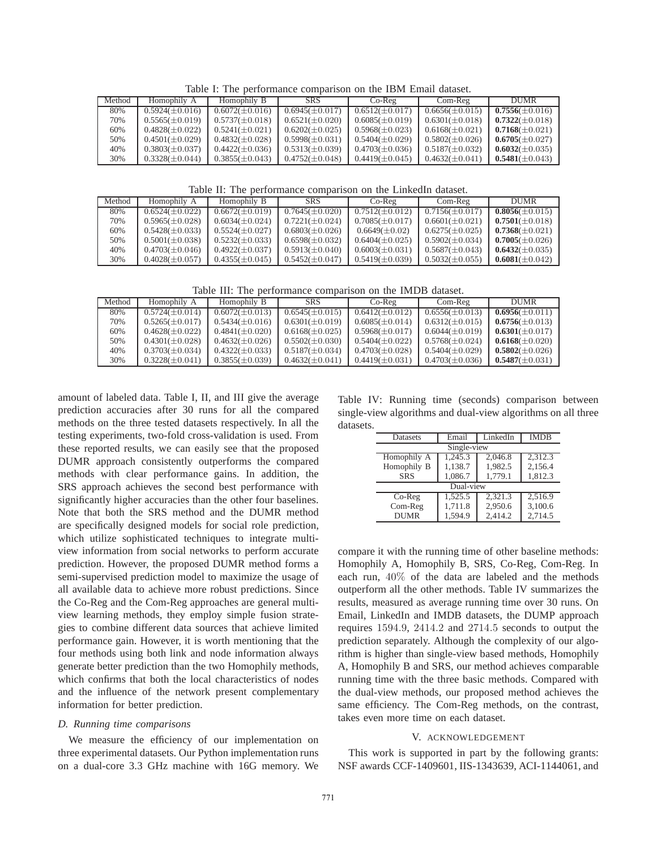Table I: The performance comparison on the IBM Email dataset.

| Method | Homophily A         | Homophily B         | <b>SRS</b>          | Co-Reg              | $Com-Re2$           | <b>DUMR</b>         |
|--------|---------------------|---------------------|---------------------|---------------------|---------------------|---------------------|
| 80%    | $0.5924(\pm 0.016)$ | $0.6072(\pm 0.016)$ | $0.6945(\pm 0.017)$ | $0.6512(\pm 0.017)$ | $0.6656(\pm 0.015)$ | $0.7556(\pm 0.016)$ |
| 70%    | $0.5565(\pm 0.019)$ | $0.5737(\pm 0.018)$ | $0.6521(\pm 0.020)$ | $0.6085(\pm 0.019)$ | $0.6301(\pm 0.018)$ | $0.7322(\pm 0.018)$ |
| 60%    | $0.4828(\pm 0.022)$ | $0.5241(\pm 0.021)$ | $0.6202(\pm 0.025)$ | $0.5968(\pm 0.023)$ | $0.6168(\pm 0.021)$ | $0.7168(\pm 0.021)$ |
| 50%    | $0.4501(\pm 0.029)$ | $0.4832(\pm 0.028)$ | $0.5998(\pm 0.031)$ | $0.5404(\pm 0.029)$ | $0.5802(\pm 0.026)$ | $0.6705(\pm 0.027)$ |
| 40%    | $0.3803(\pm 0.037)$ | $0.4422(\pm 0.036)$ | $0.5313(\pm 0.039)$ | $0.4703(\pm 0.036)$ | $0.5187(\pm 0.032)$ | $0.6032(\pm 0.035)$ |
| 30%    | $0.3328(\pm 0.044)$ | $0.3855(\pm 0.043)$ | $0.4752(\pm 0.048)$ | $0.4419(\pm 0.045)$ | $0.4632(\pm 0.041)$ | $0.5481(\pm 0.043)$ |

Table II: The performance comparison on the LinkedIn dataset.

| Homophily A         | Homophily B         | <b>SRS</b>          | $Co-Reg$            | Com-Reg             | <b>DUMR</b>         |
|---------------------|---------------------|---------------------|---------------------|---------------------|---------------------|
| $0.6524(\pm 0.022)$ | $0.6672(\pm 0.019)$ | $0.7645(\pm 0.020)$ | $0.7512(\pm 0.012)$ | $0.7156(\pm 0.017)$ | $0.8056(\pm 0.015)$ |
| $0.5965(\pm 0.028)$ | $0.6034(\pm 0.024)$ | $0.7221(\pm 0.024)$ | $0.7085(\pm 0.017)$ | $0.6601(\pm 0.021)$ | $0.7501(\pm 0.018)$ |
| $0.5428(\pm 0.033)$ | $0.5524(\pm 0.027)$ | $0.6803(\pm 0.026)$ | $0.6649(\pm 0.02)$  | $0.6275(\pm 0.025)$ | $0.7368(\pm 0.021)$ |
| $0.5001(\pm 0.038)$ | $0.5232(\pm 0.033)$ | $0.6598(\pm 0.032)$ | $0.6404(\pm 0.025)$ | $0.5902(\pm 0.034)$ | $0.7005(\pm 0.026)$ |
| $0.4703(\pm 0.046)$ | $0.4922(\pm 0.037)$ | $0.5913(\pm 0.040)$ | $0.6003(\pm 0.031)$ | $0.5687(\pm 0.043)$ | $0.6432(\pm 0.035)$ |
| $0.4028(\pm 0.057)$ | $0.4355(\pm 0.045)$ | $0.5452(\pm 0.047)$ | $0.5419(\pm 0.039)$ | $0.5032(\pm 0.055)$ | $0.6081(\pm 0.042)$ |
|                     |                     |                     |                     |                     |                     |

Table III: The performance comparison on the IMDB dataset.

| Method | Homophily A         | Homophily B         | <b>SRS</b>          | $Co-Reg$            | $Com-Re2$           | <b>DUMR</b>         |
|--------|---------------------|---------------------|---------------------|---------------------|---------------------|---------------------|
| 80%    | $0.5724(\pm 0.014)$ | $0.6072(\pm 0.013)$ | $0.6545(\pm 0.015)$ | $0.6412(\pm 0.012)$ | $0.6556(\pm 0.013)$ | $0.6956(\pm 0.011)$ |
| 70%    | $0.5265(\pm 0.017)$ | $0.5434(\pm 0.016)$ | $0.6301(\pm 0.019)$ | $0.6085(\pm 0.014)$ | $0.6312(\pm 0.015)$ | $0.6756(\pm 0.013)$ |
| 60%    | $0.4628(\pm 0.022)$ | $0.4841(\pm 0.020)$ | $0.6168(\pm 0.025)$ | $0.5968(\pm 0.017)$ | $0.6044(\pm 0.019)$ | $0.6301(\pm 0.017)$ |
| 50%    | $0.4301(\pm 0.028)$ | $0.4632(\pm 0.026)$ | $0.5502(\pm 0.030)$ | $0.5404(\pm 0.022)$ | $0.5768(\pm 0.024)$ | $0.6168(\pm 0.020)$ |
| 40%    | $0.3703(\pm 0.034)$ | $0.4322(\pm 0.033)$ | $0.5187(\pm 0.034)$ | $0.4703(\pm 0.028)$ | $0.5404(\pm 0.029)$ | $0.5802(\pm 0.026)$ |
| 30%    | $0.3228(\pm 0.041)$ | $0.3855(\pm 0.039)$ | $0.4632(\pm 0.041)$ | $0.4419(\pm 0.031)$ | $0.4703(\pm 0.036)$ | $0.5487(\pm 0.031)$ |

amount of labeled data. Table I, II, and III give the average prediction accuracies after 30 runs for all the compared methods on the three tested datasets respectively. In all the testing experiments, two-fold cross-validation is used. From these reported results, we can easily see that the proposed DUMR approach consistently outperforms the compared methods with clear performance gains. In addition, the SRS approach achieves the second best performance with significantly higher accuracies than the other four baselines. Note that both the SRS method and the DUMR method are specifically designed models for social role prediction, which utilize sophisticated techniques to integrate multiview information from social networks to perform accurate prediction. However, the proposed DUMR method forms a semi-supervised prediction model to maximize the usage of all available data to achieve more robust predictions. Since the Co-Reg and the Com-Reg approaches are general multiview learning methods, they employ simple fusion strategies to combine different data sources that achieve limited performance gain. However, it is worth mentioning that the four methods using both link and node information always generate better prediction than the two Homophily methods, which confirms that both the local characteristics of nodes and the influence of the network present complementary information for better prediction.

# *D. Running time comparisons*

We measure the efficiency of our implementation on three experimental datasets. Our Python implementation runs on a dual-core 3.3 GHz machine with 16G memory. We

Table IV: Running time (seconds) comparison between single-view algorithms and dual-view algorithms on all three datasets.

| Datasets    | Email   | LinkedIn | <b>IMDB</b> |  |  |  |
|-------------|---------|----------|-------------|--|--|--|
| Single-view |         |          |             |  |  |  |
| Homophily A | 1,245.3 | 2.046.8  | 2.312.3     |  |  |  |
| Homophily B | 1,138.7 | 1,982.5  | 2,156.4     |  |  |  |
| <b>SRS</b>  | 1,086.7 | 1,779.1  |             |  |  |  |
| Dual-view   |         |          |             |  |  |  |
| $Co-Reg$    | 1,525.5 | 2.321.3  | 2,516.9     |  |  |  |
| Com-Reg     | 1,711.8 | 2,950.6  | 3,100.6     |  |  |  |
| <b>DUMR</b> | 1,594.9 | 2,414.2  | 2,714.5     |  |  |  |

compare it with the running time of other baseline methods: Homophily A, Homophily B, SRS, Co-Reg, Com-Reg. In each run, 40% of the data are labeled and the methods outperform all the other methods. Table IV summarizes the results, measured as average running time over 30 runs. On Email, LinkedIn and IMDB datasets, the DUMP approach requires 1594.9, 2414.2 and 2714.5 seconds to output the prediction separately. Although the complexity of our algorithm is higher than single-view based methods, Homophily A, Homophily B and SRS, our method achieves comparable running time with the three basic methods. Compared with the dual-view methods, our proposed method achieves the same efficiency. The Com-Reg methods, on the contrast, takes even more time on each dataset.

# V. ACKNOWLEDGEMENT

This work is supported in part by the following grants: NSF awards CCF-1409601, IIS-1343639, ACI-1144061, and